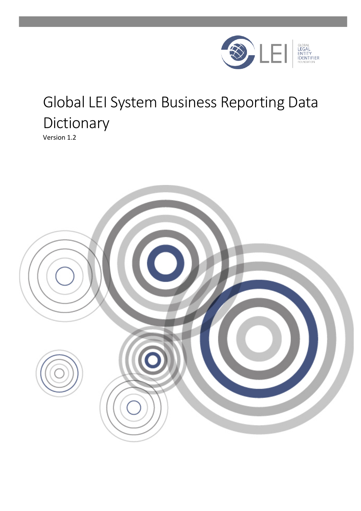

# Global LEI System Business Reporting Data Dictionary

Version 1.2

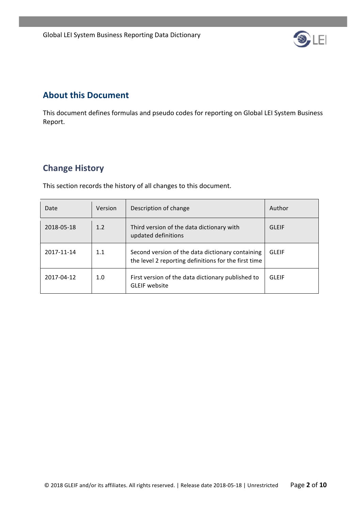

### **About this Document**

This document defines formulas and pseudo codes for reporting on Global LEI System Business Report.

## **Change History**

This section records the history of all changes to this document.

| Date       | Version | Description of change                                                                                    | Author       |
|------------|---------|----------------------------------------------------------------------------------------------------------|--------------|
| 2018-05-18 | 1.2     | Third version of the data dictionary with<br>updated definitions                                         | GLFIF        |
| 2017-11-14 | 1.1     | Second version of the data dictionary containing<br>the level 2 reporting definitions for the first time | <b>GLEIF</b> |
| 2017-04-12 | 1.0     | First version of the data dictionary published to<br><b>GLEIF</b> website                                | GLFIF        |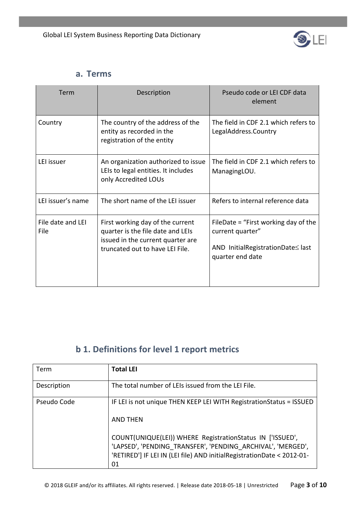

#### **a. Terms**

| Term                      | Description                                                                                                                                   | Pseudo code or LEI CDF data<br>element                                                                            |
|---------------------------|-----------------------------------------------------------------------------------------------------------------------------------------------|-------------------------------------------------------------------------------------------------------------------|
| Country                   | The country of the address of the<br>entity as recorded in the<br>registration of the entity                                                  | The field in CDF 2.1 which refers to<br>LegalAddress.Country                                                      |
| LEI issuer                | An organization authorized to issue<br>LEIs to legal entities. It includes<br>only Accredited LOUs                                            | The field in CDF 2.1 which refers to<br>ManagingLOU.                                                              |
| LEI issuer's name         | The short name of the LEI issuer                                                                                                              | Refers to internal reference data                                                                                 |
| File date and LEI<br>File | First working day of the current<br>quarter is the file date and LEIs<br>issued in the current quarter are<br>truncated out to have LEI File. | FileDate = "First working day of the<br>current quarter"<br>AND InitialRegistrationDate≤ last<br>quarter end date |

## **b** 1. Definitions for level 1 report metrics

| Term        | <b>Total LEI</b>                                                                                                                                                                                         |
|-------------|----------------------------------------------------------------------------------------------------------------------------------------------------------------------------------------------------------|
| Description | The total number of LEIs issued from the LEI File.                                                                                                                                                       |
| Pseudo Code | IF LEI is not unique THEN KEEP LEI WITH Registration Status = ISSUED<br>AND THEN                                                                                                                         |
|             | COUNT(UNIQUE(LEI)) WHERE RegistrationStatus IN ['ISSUED',<br>'LAPSED', 'PENDING TRANSFER', 'PENDING ARCHIVAL', 'MERGED',<br>'RETIRED'] IF LEI IN (LEI file) AND initialRegistrationDate < 2012-01-<br>01 |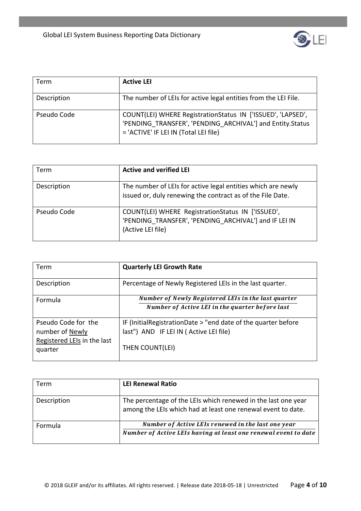

| Term        | <b>Active LEI</b>                                                                                                                                                 |
|-------------|-------------------------------------------------------------------------------------------------------------------------------------------------------------------|
| Description | The number of LEIs for active legal entities from the LEI File.                                                                                                   |
| Pseudo Code | COUNT(LEI) WHERE RegistrationStatus IN ['ISSUED', 'LAPSED',<br>'PENDING TRANSFER', 'PENDING ARCHIVAL'] and Entity.Status<br>= 'ACTIVE' IF LEI IN (Total LEI file) |

| Term        | <b>Active and verified LEI</b>                                                                                                  |
|-------------|---------------------------------------------------------------------------------------------------------------------------------|
| Description | The number of LEIs for active legal entities which are newly<br>issued or, duly renewing the contract as of the File Date.      |
| Pseudo Code | COUNT(LEI) WHERE RegistrationStatus IN ['ISSUED',<br>'PENDING_TRANSFER', 'PENDING_ARCHIVAL'] and IF LEI IN<br>(Active LEI file) |

| Term                                                                             | <b>Quarterly LEI Growth Rate</b>                                                                                           |
|----------------------------------------------------------------------------------|----------------------------------------------------------------------------------------------------------------------------|
| Description                                                                      | Percentage of Newly Registered LEIs in the last quarter.                                                                   |
| <b>Formula</b>                                                                   | Number of Newly Registered LEIs in the last quarter<br>Number of Active LEI in the quarter before last                     |
| Pseudo Code for the<br>number of Newly<br>Registered LEIs in the last<br>quarter | IF (InitialRegistrationDate > "end date of the quarter before<br>last") AND IF LEI IN (Active LEI file)<br>THEN COUNT(LEI) |

| Term        | <b>LEI Renewal Ratio</b>                                                                                                      |
|-------------|-------------------------------------------------------------------------------------------------------------------------------|
| Description | The percentage of the LEIs which renewed in the last one year<br>among the LEIs which had at least one renewal event to date. |
| Formula     | Number of Active LEIs renewed in the last one year<br>Number of Active LEIs having at least one renewal event to date         |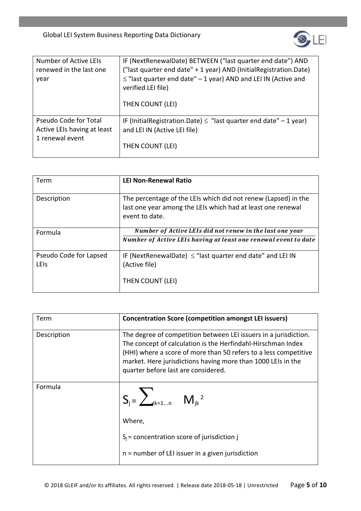

| Number of Active LEIs<br>renewed in the last one<br>year | IF (NextRenewalDate) BETWEEN ("last quarter end date") AND<br>("last quarter end date" + 1 year) AND (InitialRegistration.Date)<br>$\leq$ "last quarter end date" - 1 year) AND and LEI IN (Active and<br>verified LEI file)<br>THEN COUNT (LEI) |
|----------------------------------------------------------|--------------------------------------------------------------------------------------------------------------------------------------------------------------------------------------------------------------------------------------------------|
| Pseudo Code for Total                                    | IF (InitialRegistration.Date) $\leq$ "last quarter end date" $-1$ year)                                                                                                                                                                          |
| Active LEIs having at least                              | and LEI IN (Active LEI file)                                                                                                                                                                                                                     |
| 1 renewal event                                          | THEN COUNT (LEI)                                                                                                                                                                                                                                 |

| Term                           | <b>LEI Non-Renewal Ratio</b>                                                                                                                    |
|--------------------------------|-------------------------------------------------------------------------------------------------------------------------------------------------|
| Description                    | The percentage of the LEIs which did not renew (Lapsed) in the<br>last one year among the LEIs which had at least one renewal<br>event to date. |
| Formula                        | Number of Active LEIs did not renew in the last one year<br>Number of Active LEIs having at least one renewal event to date                     |
|                                |                                                                                                                                                 |
| Pseudo Code for Lapsed<br>LEIS | IF (NextRenewalDate) $\leq$ "last quarter end date" and LEI IN<br>(Active file)                                                                 |
|                                | THEN COUNT (LEI)                                                                                                                                |

| Term        | <b>Concentration Score (competition amongst LEI issuers)</b>                                                                                                                                                                                                                                                |
|-------------|-------------------------------------------------------------------------------------------------------------------------------------------------------------------------------------------------------------------------------------------------------------------------------------------------------------|
| Description | The degree of competition between LEI issuers in a jurisdiction.<br>The concept of calculation is the Herfindahl-Hirschman Index<br>(HHI) where a score of more than 50 refers to a less competitive<br>market. Here jurisdictions having more than 1000 LEIs in the<br>quarter before last are considered. |
| Formula     | $S_j = \sum_{k=1n} M_{jk}^2$                                                                                                                                                                                                                                                                                |
|             | Where,                                                                                                                                                                                                                                                                                                      |
|             | $S_i$ = concentration score of jurisdiction j                                                                                                                                                                                                                                                               |
|             | $n =$ number of LEI issuer in a given jurisdiction                                                                                                                                                                                                                                                          |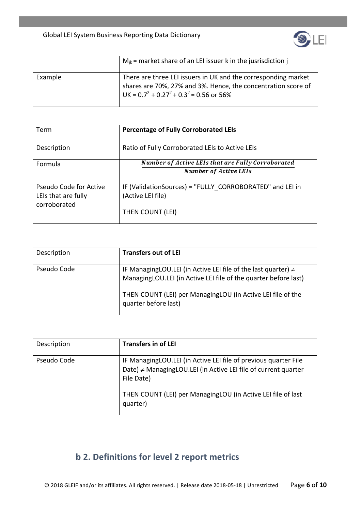

|         | $M_{ik}$ = market share of an LEI issuer k in the jusrisdiction j                                                                                                                  |
|---------|------------------------------------------------------------------------------------------------------------------------------------------------------------------------------------|
| Example | There are three LEI issuers in UK and the corresponding market<br>shares are 70%, 27% and 3%. Hence, the concentration score of<br>UK = $0.7^2$ + $0.27^2$ + $0.3^2$ = 0.56 or 56% |

| Term                   | <b>Percentage of Fully Corroborated LEIs</b>             |
|------------------------|----------------------------------------------------------|
| Description            | Ratio of Fully Corroborated LEIs to Active LEIs          |
| Formula                | <b>Number of Active LEIs that are Fully Corroborated</b> |
|                        | <b>Number of Active LEIs</b>                             |
| Pseudo Code for Active | IF (ValidationSources) = "FULLY CORROBORATED" and LEI in |
| LEIs that are fully    | (Active LEI file)                                        |
| corroborated           |                                                          |
|                        | THEN COUNT (LEI)                                         |

| Description | <b>Transfers out of LEI</b>                                                                                                                                                                                                    |
|-------------|--------------------------------------------------------------------------------------------------------------------------------------------------------------------------------------------------------------------------------|
| Pseudo Code | IF Managing LOU. LEI (in Active LEI file of the last quarter) $\neq$<br>ManagingLOU.LEI (in Active LEI file of the quarter before last)<br>THEN COUNT (LEI) per ManagingLOU (in Active LEI file of the<br>quarter before last) |

| Description | <b>Transfers in of LEI</b>                                                                                                                      |
|-------------|-------------------------------------------------------------------------------------------------------------------------------------------------|
| Pseudo Code | IF ManagingLOU.LEI (in Active LEI file of previous quarter File<br>Date) ≠ ManagingLOU.LEI (in Active LEI file of current quarter<br>File Date) |
|             | THEN COUNT (LEI) per ManagingLOU (in Active LEI file of last<br>quarter)                                                                        |

# **b** 2. Definitions for level 2 report metrics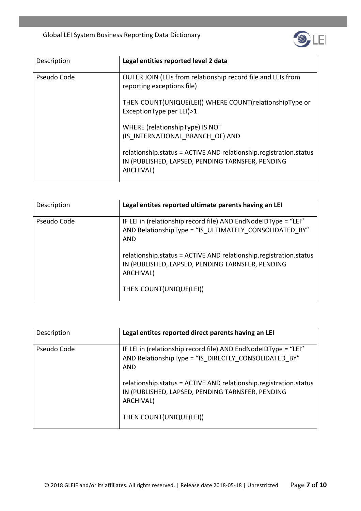Global LEI System Business Reporting Data Dictionary



| Description | Legal entities reported level 2 data                                                                                               |
|-------------|------------------------------------------------------------------------------------------------------------------------------------|
| Pseudo Code | OUTER JOIN (LEIs from relationship record file and LEIs from<br>reporting exceptions file)                                         |
|             | THEN COUNT(UNIQUE(LEI)) WHERE COUNT(relationshipType or<br>ExceptionType per LEI)>1                                                |
|             | WHERE (relationshipType) IS NOT<br>(IS_INTERNATIONAL_BRANCH_OF) AND                                                                |
|             | relationship.status = ACTIVE AND relationship.registration.status<br>IN (PUBLISHED, LAPSED, PENDING TARNSFER, PENDING<br>ARCHIVAL) |

| Description | Legal entites reported ultimate parents having an LEI                                                                              |
|-------------|------------------------------------------------------------------------------------------------------------------------------------|
| Pseudo Code | IF LEI in (relationship record file) AND EndNodeIDType = "LEI"<br>AND RelationshipType = "IS_ULTIMATELY_CONSOLIDATED_BY"<br>AND    |
|             | relationship.status = ACTIVE AND relationship.registration.status<br>IN (PUBLISHED, LAPSED, PENDING TARNSFER, PENDING<br>ARCHIVAL) |
|             | THEN COUNT(UNIQUE(LEI))                                                                                                            |

| Description | Legal entites reported direct parents having an LEI                                                                                |
|-------------|------------------------------------------------------------------------------------------------------------------------------------|
| Pseudo Code | IF LEI in (relationship record file) AND EndNodeIDType = "LEI"<br>AND RelationshipType = "IS_DIRECTLY_CONSOLIDATED_BY"<br>AND      |
|             | relationship.status = ACTIVE AND relationship.registration.status<br>IN (PUBLISHED, LAPSED, PENDING TARNSFER, PENDING<br>ARCHIVAL) |
|             | THEN COUNT(UNIQUE(LEI))                                                                                                            |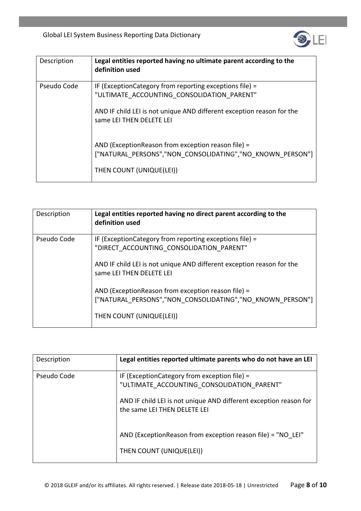

| Description | Legal entities reported having no ultimate parent according to the<br>definition used                           |
|-------------|-----------------------------------------------------------------------------------------------------------------|
| Pseudo Code | IF (ExceptionCategory from reporting exceptions file) =<br>"ULTIMATE ACCOUNTING CONSOLIDATION PARENT"           |
|             | AND IF child LEI is not unique AND different exception reason for the<br>same LEI THEN DELETE LEI               |
|             | AND (ExceptionReason from exception reason file) =<br>["NATURAL PERSONS","NON CONSOLIDATING","NO KNOWN PERSON"] |
|             | THEN COUNT (UNIQUE(LEI))                                                                                        |

| Description | Legal entities reported having no direct parent according to the<br>definition used                                                                                           |
|-------------|-------------------------------------------------------------------------------------------------------------------------------------------------------------------------------|
| Pseudo Code | IF (Exception Category from reporting exceptions file) =<br>"DIRECT ACCOUNTING CONSOLIDATION PARENT"<br>AND IF child LEI is not unique AND different exception reason for the |
|             | same LEI THEN DELETE LEI<br>AND (ExceptionReason from exception reason file) =<br>["NATURAL PERSONS","NON CONSOLIDATING","NO KNOWN PERSON"]                                   |
|             | THEN COUNT (UNIQUE(LEI))                                                                                                                                                      |

| Description | Legal entities reported ultimate parents who do not have an LEI                                   |
|-------------|---------------------------------------------------------------------------------------------------|
| Pseudo Code | IF (Exception Category from exception file) =<br>"ULTIMATE ACCOUNTING CONSOLIDATION PARENT"       |
|             | AND IF child LEI is not unique AND different exception reason for<br>the same LEI THEN DELETE LEI |
|             | AND (ExceptionReason from exception reason file) = "NO LEI"                                       |
|             | THEN COUNT (UNIQUE(LEI))                                                                          |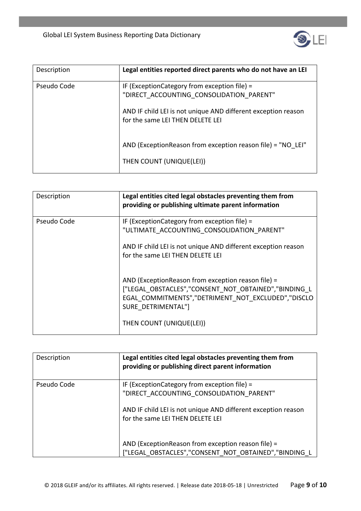Global LEI System Business Reporting Data Dictionary



| Description | Legal entities reported direct parents who do not have an LEI                                     |
|-------------|---------------------------------------------------------------------------------------------------|
| Pseudo Code | IF (ExceptionCategory from exception file) =<br>"DIRECT ACCOUNTING CONSOLIDATION PARENT"          |
|             | AND IF child LEI is not unique AND different exception reason<br>for the same LEI THEN DELETE LEI |
|             | AND (ExceptionReason from exception reason file) = "NO LEI"                                       |
|             | THEN COUNT (UNIQUE(LEI))                                                                          |

| Description | Legal entities cited legal obstacles preventing them from<br>providing or publishing ultimate parent information                                                                                                   |
|-------------|--------------------------------------------------------------------------------------------------------------------------------------------------------------------------------------------------------------------|
| Pseudo Code | IF (ExceptionCategory from exception file) =<br>"ULTIMATE_ACCOUNTING_CONSOLIDATION_PARENT"<br>AND IF child LEI is not unique AND different exception reason<br>for the same LEI THEN DELETE LEI                    |
|             | AND (ExceptionReason from exception reason file) =<br>["LEGAL_OBSTACLES","CONSENT_NOT_OBTAINED","BINDING_L<br>EGAL COMMITMENTS","DETRIMENT NOT EXCLUDED","DISCLO<br>SURE DETRIMENTAL"]<br>THEN COUNT (UNIQUE(LEI)) |

| Description | Legal entities cited legal obstacles preventing them from<br>providing or publishing direct parent information                                                                                |
|-------------|-----------------------------------------------------------------------------------------------------------------------------------------------------------------------------------------------|
| Pseudo Code | IF (ExceptionCategory from exception file) =<br>"DIRECT ACCOUNTING CONSOLIDATION PARENT"<br>AND IF child LEI is not unique AND different exception reason<br>for the same LEI THEN DELETE LEI |
|             | AND (ExceptionReason from exception reason file) =<br>["LEGAL_OBSTACLES","CONSENT_NOT_OBTAINED","BINDING_L                                                                                    |